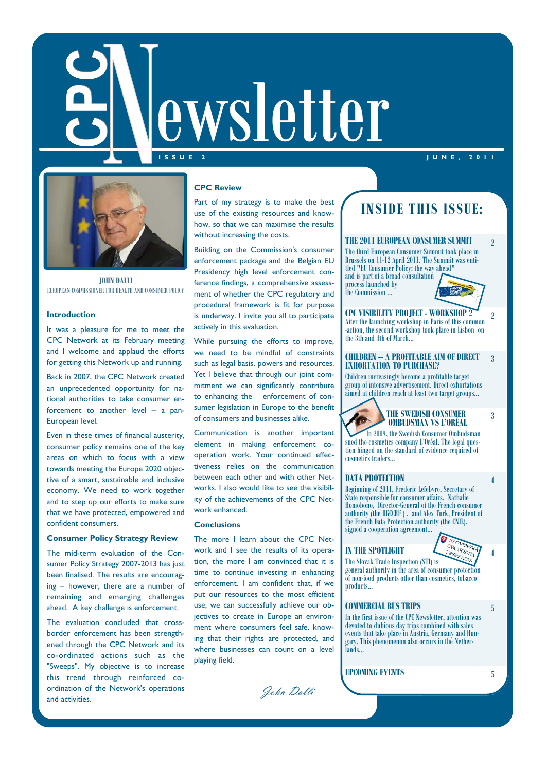

**I S S U E 2 J U N E , 2 0 1 1** 



**JOHN DALLI** 

### **Introduction**

It was a pleasure for me to meet the CPC Network at its February meeting and I welcome and applaud the efforts for getting this Network up and running.

Back in 2007, the CPC Network created an unprecedented opportunity for national authorities to take consumer enforcement to another level – a pan-European level.

Even in these times of financial austerity, consumer policy remains one of the key areas on which to focus with a view towards meeting the Europe 2020 objective of a smart, sustainable and inclusive economy. We need to work together and to step up our efforts to make sure that we have protected, empowered and confident consumers.

### **Consumer Policy Strategy Review**

The mid-term evaluation of the Consumer Policy Strategy 2007-2013 has just been finalised. The results are encouraging – however, there are a number of remaining and emerging challenges ahead. A key challenge is enforcement.

The evaluation concluded that crossborder enforcement has been strengthened through the CPC Network and its co-ordinated actions such as the "Sweeps". My objective is to increase this trend through reinforced coordination of the Network's operations and activities.

### **CPC Review**

Part of my strategy is to make the best use of the existing resources and knowhow, so that we can maximise the results without increasing the costs.

Building on the Commission's consumer enforcement package and the Belgian EU Presidency high level enforcement conference findings, a comprehensive assessment of whether the CPC regulatory and procedural framework is fit for purpose is underway. I invite you all to participate actively in this evaluation.

While pursuing the efforts to improve, we need to be mindful of constraints such as legal basis, powers and resources. Yet I believe that through our joint commitment we can significantly contribute to enhancing the enforcement of consumer legislation in Europe to the benefit of consumers and businesses alike.

Communication is another important element in making enforcement cooperation work. Your continued effectiveness relies on the communication between each other and with other Networks. I also would like to see the visibility of the achievements of the CPC Network enhanced.

### **Conclusions**

The more I learn about the CPC Network and I see the results of its operation, the more I am convinced that it is time to continue investing in enhancing enforcement. I am confident that, if we put our resources to the most efficient use, we can successfully achieve our objectives to create in Europe an environment where consumers feel safe, knowing that their rights are protected, and where businesses can count on a level playing field.

John Dalli

# **INSIDE THIS ISSUE:**

### **THE 2011 EUROPEAN CONSUMER SUMMIT**

The third European Consumer Summit took place in Brussels on 11-12 April 2011. The Summit was entitled "EU Consumer Policy: the way ahead" and is part of a broad consultation process launched by the Commission ...



2

2

3

4

4

5

**CPC VISIBILITY PROJECT - WORKSHOP 2**  After the launching workshop in Paris of this common -action, the second workshop took place in Lisbon on the 3th and 4th of March…

#### **CHILDREN – A PROFITABLE AIM OF DIRECT EXHORTATION TO PURCHASE?**  3

Children increasingly become a profitable target group of intensive advertisement. Direct exhortations aimed at children reach at least two target groups...

> **THE SWEDISH CONSUMER OMBUDSMAN VS L'ORÉAL**  In 2009, the Swedish Consumer Ombudsman

sued the cosmetics company L'Oréal. The legal question hinged on the standard of evidence required of cosmetics traders...

### **DATA PROTECTION**

Beginning of 2011, Frederic Lefebvre, Secretary of State responsible for consumer affairs, Nathalie Homobono, Director-General of the French consumer authority (the DGCCRF ) , and Alex Turk, President of the French Data Protection authority (the CNIL), signed a cooperation agreement...

### **IN THE SPOTLIGHT**

SCHODNA The Slovak Trade Inspection (STI) is general authority in the area of consumer protection of non-food products other than cosmetics, tobacco products...

### **COMMERCIAL BUS TRIPS**

In the first issue of the CPC Newsletter, attention was devoted to dubious day trips combined with sales events that take place in Austria, Germany and Hungary. This phenomenon also occurs in the Netherlands...

**UPCOMING EVENTS** 5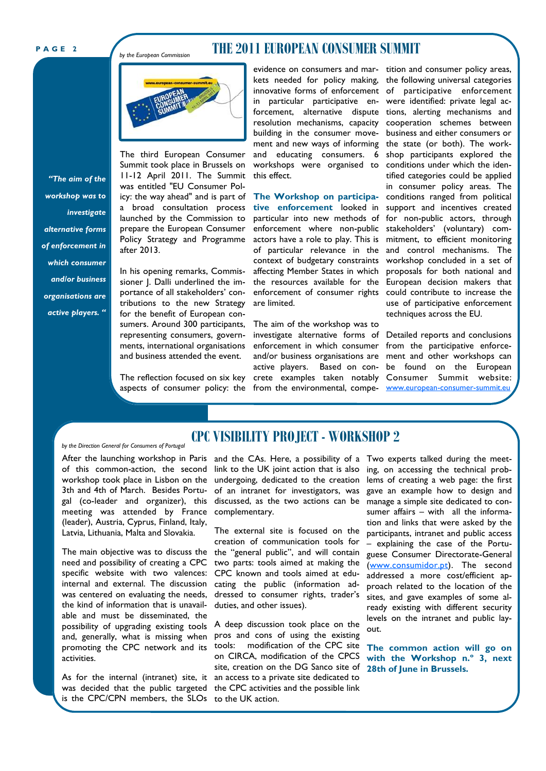*by the European Commission* 

### **THE 2011 EUROPEAN CONSUMER SUMMIT**



The third European Consumer Summit took place in Brussels on 11-12 April 2011. The Summit was entitled "EU Consumer Policy: the way ahead" and is part of a broad consultation process launched by the Commission to prepare the European Consumer Policy Strategy and Programme after 2013.

In his opening remarks, Commissioner J. Dalli underlined the importance of all stakeholders' contributions to the new Strategy for the benefit of European consumers. Around 300 participants, representing consumers, governments, international organisations and business attended the event.

The reflection focused on six key aspects of consumer policy: the from the environmental, compe- www.european-consumer-summit.eu

evidence on consumers and mar-tition and consumer policy areas, kets needed for policy making, the following universal categories innovative forms of enforcement of participative enforcement in particular participative enforcement, alternative dispute tions, alerting mechanisms and resolution mechanisms, capacity building in the consumer movement and new ways of informing and educating consumers. 6 workshops were organised to this effect.

**The Workshop on participative enforcement** looked in particular into new methods of enforcement where non-public actors have a role to play. This is of particular relevance in the context of budgetary constraints affecting Member States in which the resources available for the enforcement of consumer rights are limited.

The aim of the workshop was to investigate alternative forms of Detailed reports and conclusions enforcement in which consumer and/or business organisations are active players. Based on concrete examples taken notably Consumer Summit website:

were identified: private legal accooperation schemes between business and either consumers or the state (or both). The workshop participants explored the conditions under which the identified categories could be applied in consumer policy areas. The conditions ranged from political support and incentives created for non-public actors, through stakeholders' (voluntary) commitment, to efficient monitoring and control mechanisms. The workshop concluded in a set of proposals for both national and European decision makers that could contribute to increase the use of participative enforcement techniques across the EU.

from the participative enforcement and other workshops can be found on the European

# **CPC VISIBILITY PROJECT - WORKSHOP 2**

After the launching workshop in Paris and the CAs. Here, a possibility of a Two experts talked during the meetmeeting was attended by France complementary. (leader), Austria, Cyprus, Finland, Italy, Latvia, Lithuania, Malta and Slovakia.

*by the Direction General for Consumers of Portugal* 

The main objective was to discuss the the "general public", and will contain need and possibility of creating a CPC two parts: tools aimed at making the specific website with two valences: CPC known and tools aimed at eduinternal and external. The discussion cating the public (information adwas centered on evaluating the needs, dressed to consumer rights, trader's possibility of upgrading existing tools  $\,$  A deep discussion took place on the the kind of information that is unavailable and must be disseminated, the activities.

is the CPC/CPN members, the SLOs to the UK action.

of this common-action, the second link to the UK joint action that is also ing, on accessing the technical probworkshop took place in Lisbon on the undergoing, dedicated to the creation lems of creating a web page: the first 3th and 4th of March. Besides Portu- of an intranet for investigators, was gave an example how to design and gal (co-leader and organizer), this discussed, as the two actions can be manage a simple site dedicated to con-

> The external site is focused on the creation of communication tools for duties, and other issues).

and, generally, what is missing when pros and cons of using the existing promoting the CPC network and its tools: modification of the CPC site on CIRCA, modification of the CPCS site, creation on the DG Sanco site of As for the internal (intranet) site, it an access to a private site dedicated to was decided that the public targeted the CPC activities and the possible link

sumer affairs – with all the information and links that were asked by the participants, intranet and public access – explaining the case of the Portuguese Consumer Directorate-General (www.consumidor.pt). The second addressed a more cost/efficient approach related to the location of the sites, and gave examples of some already existing with different security levels on the intranet and public layout.

**The common action will go on with the Workshop n.º 3, next 28th of June in Brussels.** 

*"The aim of the workshop was to investigate alternative forms of enforcement in which consumer and/or business organisations are active players. "*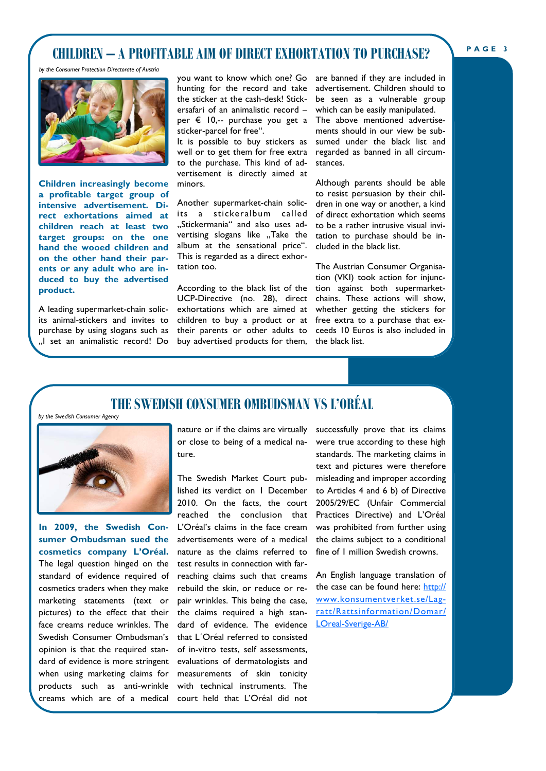# **CHILDREN – A PROFITABLE AIM OF DIRECT EXHORTATION TO PURCHASE?**

*by the Consumer Protection Directorate of Austria* 



**Children increasingly become a profitable target group of intensive advertisement. Direct exhortations aimed at children reach at least two target groups: on the one hand the wooed children and on the other hand their parents or any adult who are induced to buy the advertised product.** 

A leading supermarket-chain solicits animal-stickers and invites to purchase by using slogans such as "I set an animalistic record! Do

you want to know which one? Go are banned if they are included in hunting for the record and take the sticker at the cash-desk! Stickersafari of an animalistic record – per € 10,-- purchase you get a The above mentioned advertisesticker-parcel for free".

It is possible to buy stickers as well or to get them for free extra to the purchase. This kind of advertisement is directly aimed at minors.

Another supermarket-chain solicits a stickeralbum called "Stickermania" and also uses advertising slogans like "Take the album at the sensational price". This is regarded as a direct exhortation too.

According to the black list of the UCP-Directive (no. 28), direct exhortations which are aimed at their parents or other adults to buy advertised products for them, the black list.

advertisement. Children should to be seen as a vulnerable group which can be easily manipulated. ments should in our view be subsumed under the black list and regarded as banned in all circumstances.

Although parents should be able to resist persuasion by their children in one way or another, a kind of direct exhortation which seems to be a rather intrusive visual invitation to purchase should be included in the black list.

children to buy a product or at free extra to a purchase that ex-The Austrian Consumer Organisation (VKI) took action for injunction against both supermarketchains. These actions will show, whether getting the stickers for ceeds 10 Euros is also included in

# **THE SWEDISH CONSUMER OMBUDSMAN VS L'ORÉAL**

*by the Swedish Consumer Agency* 



**In 2009, the Swedish Consumer Ombudsman sued the cosmetics company L'Oréal.**  The legal question hinged on the standard of evidence required of cosmetics traders when they make marketing statements (text or pictures) to the effect that their face creams reduce wrinkles. The Swedish Consumer Ombudsman's opinion is that the required standard of evidence is more stringent when using marketing claims for products such as anti-wrinkle creams which are of a medical

or close to being of a medical nature.

The Swedish Market Court published its verdict on 1 December 2010. On the facts, the court reached the conclusion that L'Oréal's claims in the face cream advertisements were of a medical nature as the claims referred to test results in connection with farreaching claims such that creams rebuild the skin, or reduce or repair wrinkles. This being the case, the claims required a high standard of evidence. The evidence that L´Oréal referred to consisted of in-vitro tests, self assessments, evaluations of dermatologists and measurements of skin tonicity with technical instruments. The court held that L'Oréal did not

nature or if the claims are virtually successfully prove that its claims were true according to these high standards. The marketing claims in text and pictures were therefore misleading and improper according to Articles 4 and 6 b) of Directive 2005/29/EC (Unfair Commercial Practices Directive) and L'Oréal was prohibited from further using the claims subject to a conditional fine of 1 million Swedish crowns.

> An English language translation of the case can be found here: http:// www.konsumentverket.se/Lagratt/Rattsinformation/Domar/ LOreal-Sverige-AB/

#### **P A G E 3**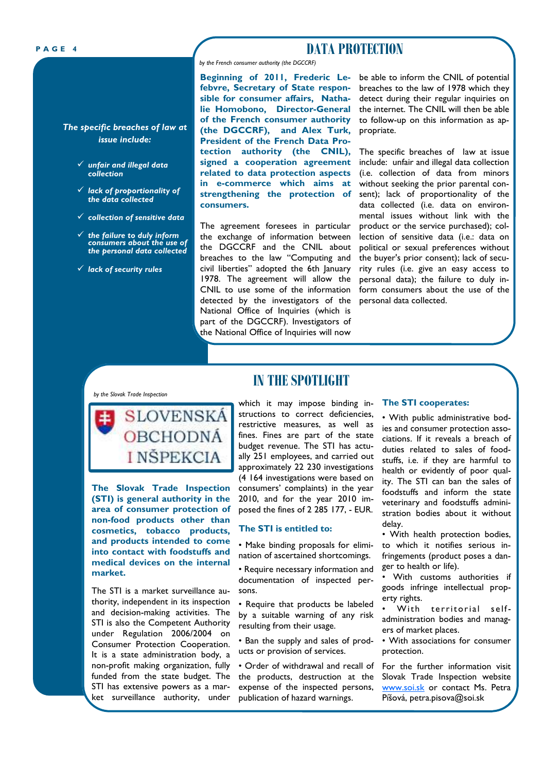*The specific breaches of law at issue include:* 

- *unfair and illegal data collection*
- *lack of proportionality of the data collected*
- *collection of sensitive data*
- *the failure to duly inform consumers about the use of the personal data collected*
- *lack of security rules*

## **PAGE 4 DATA PROTECTION**

*by the French consumer authority (the DGCCRF)* 

**Beginning of 2011, Frederic Lefebvre, Secretary of State responsible for consumer affairs, Nathalie Homobono, Director-General of the French consumer authority (the DGCCRF), and Alex Turk, President of the French Data Protection authority (the CNIL), signed a cooperation agreement related to data protection aspects in e-commerce which aims at strengthening the protection of consumers.** 

The agreement foresees in particular the exchange of information between the DGCCRF and the CNIL about breaches to the law "Computing and civil liberties" adopted the 6th January 1978. The agreement will allow the CNIL to use some of the information detected by the investigators of the National Office of Inquiries (which is part of the DGCCRF). Investigators of the National Office of Inquiries will now

be able to inform the CNIL of potential breaches to the law of 1978 which they detect during their regular inquiries on the internet. The CNIL will then be able to follow-up on this information as appropriate.

The specific breaches of law at issue include: unfair and illegal data collection (i.e. collection of data from minors without seeking the prior parental consent); lack of proportionality of the data collected (i.e. data on environmental issues without link with the product or the service purchased); collection of sensitive data (i.e.: data on political or sexual preferences without the buyer's prior consent); lack of security rules (i.e. give an easy access to personal data); the failure to duly inform consumers about the use of the personal data collected.

#### *by the Slovak Trade Inspection*



**The Slovak Trade Inspection (STI) is general authority in the area of consumer protection of non-food products other than cosmetics, tobacco products, and products intended to come into contact with foodstuffs and medical devices on the internal market.** 

The STI is a market surveillance authority, independent in its inspection and decision-making activities. The STI is also the Competent Authority under Regulation 2006/2004 on Consumer Protection Cooperation. It is a state administration body, a non-profit making organization, fully funded from the state budget. The STI has extensive powers as a market surveillance authority, under

# **IN THE SPOTLIGHT**

which it may impose binding instructions to correct deficiencies, restrictive measures, as well as fines. Fines are part of the state budget revenue. The STI has actually 251 employees, and carried out approximately 22 230 investigations (4 164 investigations were based on consumers' complaints) in the year 2010, and for the year 2010 imposed the fines of 2 285 177, - EUR.

### **The STI is entitled to:**

• Make binding proposals for elimination of ascertained shortcomings.

• Require necessary information and documentation of inspected persons.

• Require that products be labeled by a suitable warning of any risk resulting from their usage.

• Ban the supply and sales of products or provision of services.

• Order of withdrawal and recall of the products, destruction at the expense of the inspected persons, publication of hazard warnings.

### **The STI cooperates:**

• With public administrative bodies and consumer protection associations. If it reveals a breach of duties related to sales of foodstuffs, i.e. if they are harmful to health or evidently of poor quality. The STI can ban the sales of foodstuffs and inform the state veterinary and foodstuffs administration bodies about it without delay.

• With health protection bodies, to which it notifies serious infringements (product poses a danger to health or life).

• With customs authorities if goods infringe intellectual property rights.

• With territorial selfadministration bodies and managers of market places.

• With associations for consumer protection.

For the further information visit Slovak Trade Inspection website www.soi.sk or contact Ms. Petra Píšová, petra.pisova@soi.sk